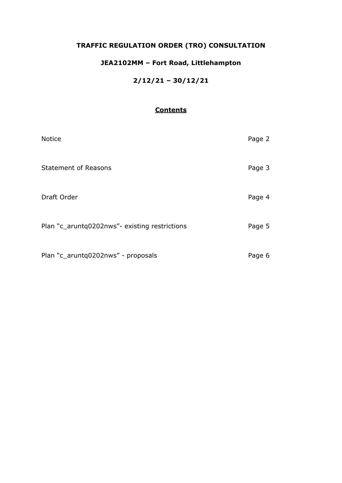## **TRAFFIC REGULATION ORDER (TRO) CONSULTATION**

## **JEA2102MM – Fort Road, Littlehampton**

### **2/12/21 – 30/12/21**

### **Contents**

| <b>Notice</b>                                 | Page 2 |
|-----------------------------------------------|--------|
| <b>Statement of Reasons</b>                   | Page 3 |
| Draft Order                                   | Page 4 |
| Plan "c_aruntq0202nws"- existing restrictions | Page 5 |
| Plan "c_aruntq0202nws" - proposals            | Page 6 |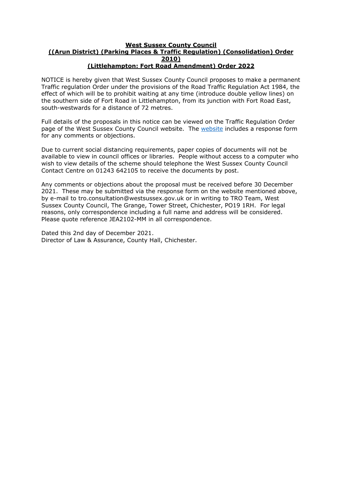#### **West Sussex County Council ((Arun District) (Parking Places & Traffic Regulation) (Consolidation) Order 2010) (Littlehampton: Fort Road Amendment) Order 2022**

NOTICE is hereby given that West Sussex County Council proposes to make a permanent Traffic regulation Order under the provisions of the Road Traffic Regulation Act 1984, the effect of which will be to prohibit waiting at any time (introduce double yellow lines) on the southern side of Fort Road in Littlehampton, from its junction with Fort Road East, south-westwards for a distance of 72 metres.

Full details of the proposals in this notice can be viewed on the Traffic Regulation Order page of the West Sussex County Council [website](https://www.westsussex.gov.uk/roads-and-travel/traffic-regulation-orders/). The website includes a response form for any comments or objections.

Due to current social distancing requirements, paper copies of documents will not be available to view in council offices or libraries. People without access to a computer who wish to view details of the scheme should telephone the West Sussex County Council Contact Centre on 01243 642105 to receive the documents by post.

Any comments or objections about the proposal must be received before 30 December 2021. These may be submitted via the response form on the website mentioned above, by e-mail to tro.consultation@westsussex.gov.uk or in writing to TRO Team, West Sussex County Council, The Grange, Tower Street, Chichester, PO19 1RH. For legal reasons, only correspondence including a full name and address will be considered. Please quote reference JEA2102-MM in all correspondence.

Dated this 2nd day of December 2021. Director of Law & Assurance, County Hall, Chichester.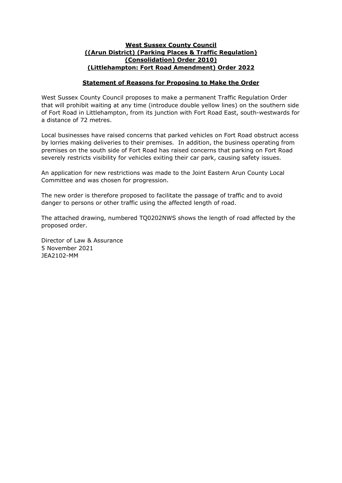#### **West Sussex County Council ((Arun District) (Parking Places & Traffic Regulation) (Consolidation) Order 2010) (Littlehampton: Fort Road Amendment) Order 2022**

#### **Statement of Reasons for Proposing to Make the Order**

West Sussex County Council proposes to make a permanent Traffic Regulation Order that will prohibit waiting at any time (introduce double yellow lines) on the southern side of Fort Road in Littlehampton, from its junction with Fort Road East, south-westwards for a distance of 72 metres.

Local businesses have raised concerns that parked vehicles on Fort Road obstruct access by lorries making deliveries to their premises. In addition, the business operating from premises on the south side of Fort Road has raised concerns that parking on Fort Road severely restricts visibility for vehicles exiting their car park, causing safety issues.

An application for new restrictions was made to the Joint Eastern Arun County Local Committee and was chosen for progression.

The new order is therefore proposed to facilitate the passage of traffic and to avoid danger to persons or other traffic using the affected length of road.

The attached drawing, numbered TQ0202NWS shows the length of road affected by the proposed order.

Director of Law & Assurance 5 November 2021 JEA2102-MM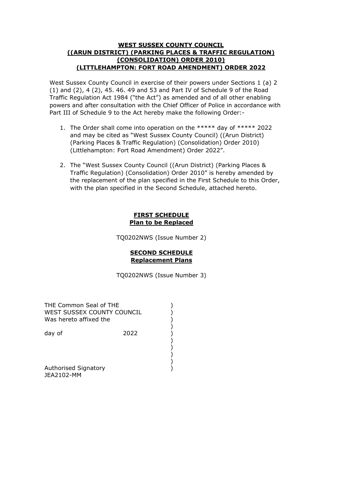#### **WEST SUSSEX COUNTY COUNCIL ((ARUN DISTRICT) (PARKING PLACES & TRAFFIC REGULATION) (CONSOLIDATION) ORDER 2010) (LITTLEHAMPTON: FORT ROAD AMENDMENT) ORDER 2022**

West Sussex County Council in exercise of their powers under Sections 1 (a) 2 (1) and (2), 4 (2), 45. 46. 49 and 53 and Part IV of Schedule 9 of the Road Traffic Regulation Act 1984 ("the Act") as amended and of all other enabling powers and after consultation with the Chief Officer of Police in accordance with Part III of Schedule 9 to the Act hereby make the following Order:-

- 1. The Order shall come into operation on the \*\*\*\*\* day of \*\*\*\*\* 2022 and may be cited as "West Sussex County Council) ((Arun District) (Parking Places & Traffic Regulation) (Consolidation) Order 2010) (Littlehampton: Fort Road Amendment) Order 2022".
- 2. The "West Sussex County Council ((Arun District) (Parking Places & Traffic Regulation) (Consolidation) Order 2010" is hereby amended by the replacement of the plan specified in the First Schedule to this Order, with the plan specified in the Second Schedule, attached hereto.

#### **FIRST SCHEDULE Plan to be Replaced**

TQ0202NWS (Issue Number 2)

#### **SECOND SCHEDULE Replacement Plans**

TQ0202NWS (Issue Number 3)

| THE Common Seal of THE<br>WEST SUSSEX COUNTY COUNCIL<br>Was hereto affixed the |      |  |
|--------------------------------------------------------------------------------|------|--|
| day of                                                                         | 2022 |  |
| Authorised Signatory<br>JEA2102-MM                                             |      |  |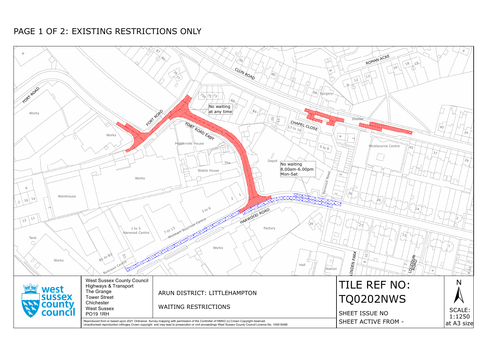

# PAGE 1 OF 2: EXISTING RESTRICTIONS ONLY